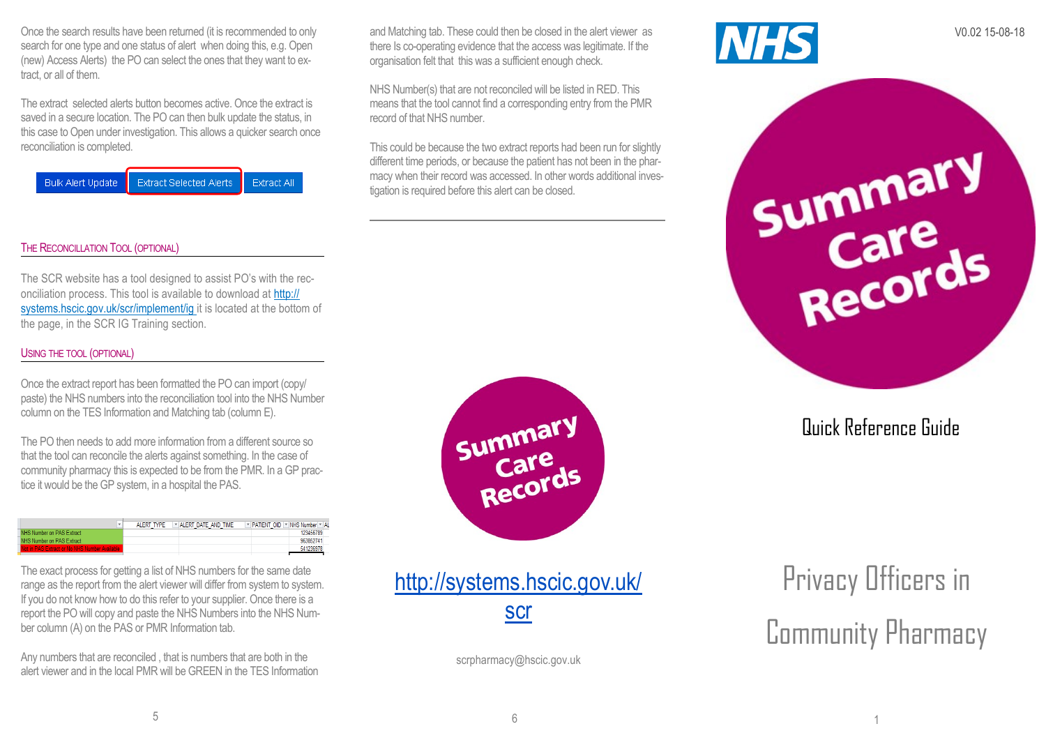Once the search results have been returned (it is recommended to only search for one type and one status of alert when doing this, e.g. Open (new) Access Alerts) the PO can select the ones that they want to extract, or all of them.

The extract selected alerts button becomes active. Once the extract is saved in a secure location. The PO can then bulk update the status, in this case to Open under investigation. This allows a quicker search once reconciliation is completed.

**Bulk Alert Undate Extract Selected Alerts** Extract All

#### THE RECONCILLATION TOOL (OPTIONAL)

The SCR website has a tool designed to assist PO's with the reconciliation process. This tool is available to download at http:// systems.hscic.gov.uk/scr/implement/ig it is located at the bottom of the page, in the SCR IG Training section.

#### USING THE TOOL (OPTIONAL)

Once the extract report has been formatted the PO can import (copy/ paste) the NHS numbers into the reconciliation tool into the NHS Number column on the TES Information and Matching tab (column E).

The PO then needs to add more information from a different source so that the tool can reconcile the alerts against something. In the case of community pharmacy this is expected to be from the PMR. In a GP practice it would be the GP system, in a hospital the PAS.

|                                                | AI FRT TYPE | $\triangleright$ ALERT DATE AND TIME | F PATIENT OID F NHS Number F AL |           |
|------------------------------------------------|-------------|--------------------------------------|---------------------------------|-----------|
| NHS Number on PAS Extract                      |             |                                      |                                 | 123456789 |
| NHS Number on PAS Extract                      |             |                                      |                                 | 963852741 |
| Not in PAS Extract or No NHS Number Available: |             |                                      |                                 |           |

The exact process for getting a list of NHS numbers for the same date range as the report from the alert viewer will differ from system to system. If you do not know how to do this refer to your supplier. Once there is a report the PO will copy and paste the NHS Numbers into the NHS Number column (A) on the PAS or PMR Information tab.

Any numbers that are reconciled , that is numbers that are both in the alert viewer and in the local PMR will be GREEN in the TES Information and Matching tab. These could then be closed in the alert viewer as V0.02 15-08-18<br>there Is co-operating evidence that the access was legitimate. If the there Is co-operating evidence that the access was legitimate. If the organisation felt that this was a sufficient enough check.

NHS Number(s) that are not reconciled will be listed in RED. This means that the tool cannot find a corresponding entry from the PMR record of that NHS number.

This could be because the two extract reports had been run for slightly different time periods, or because the patient has not been in the pharmacy when their record was accessed. In other words additional investigation is required before this alert can be closed.



http://systems.hscic.gov.uk/ scr

scrpharmacy@hscic.gov.uk



Summary<br>Care<br>Records

Quick Reference Guide

Privacy Officers in Community Pharmacy